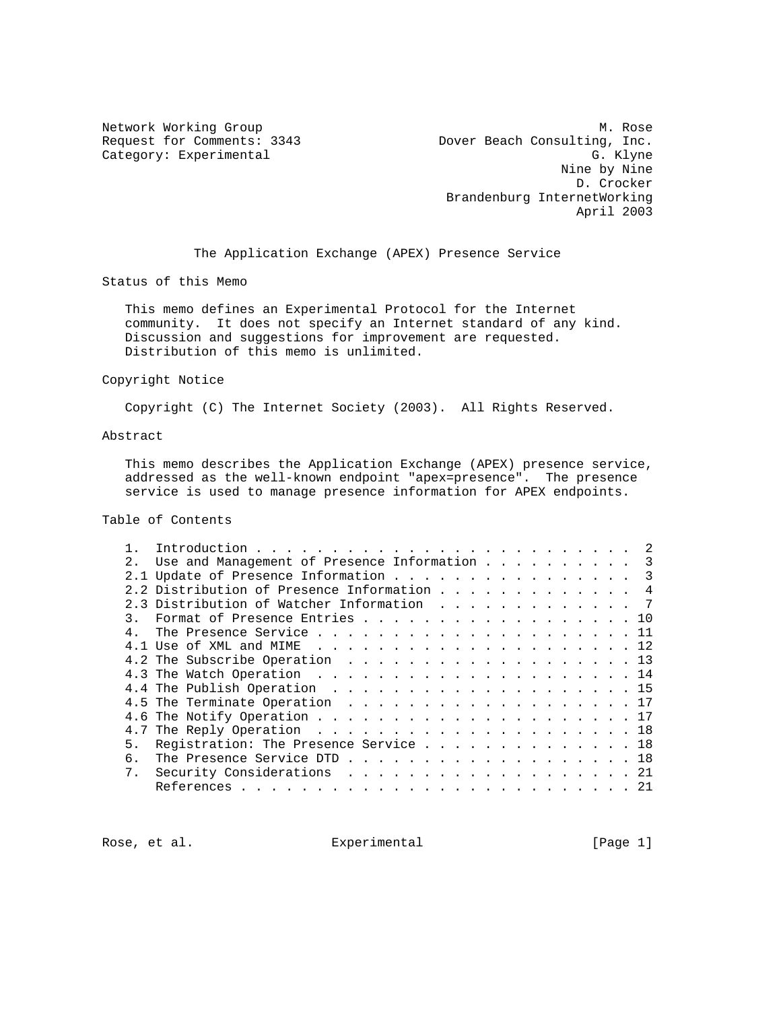Network Working Group Methods and Museum Museum Museum Museum Museum Museum Museum Museum Museum Museum Museum Request for Comments: 3343 Dover Beach Consulting, Inc. Category: Experimental G. Klyne Nine by Nine D. Crocker Brandenburg InternetWorking April 2003

The Application Exchange (APEX) Presence Service

Status of this Memo

 This memo defines an Experimental Protocol for the Internet community. It does not specify an Internet standard of any kind. Discussion and suggestions for improvement are requested. Distribution of this memo is unlimited.

#### Copyright Notice

Copyright (C) The Internet Society (2003). All Rights Reserved.

# Abstract

 This memo describes the Application Exchange (APEX) presence service, addressed as the well-known endpoint "apex=presence". The presence service is used to manage presence information for APEX endpoints.

### Table of Contents

| $2^{\circ}$ |    | Use and Management of Presence Information |  |  |  |  |  |  |     |
|-------------|----|--------------------------------------------|--|--|--|--|--|--|-----|
|             |    | 2.1 Update of Presence Information 3       |  |  |  |  |  |  |     |
|             |    | 2.2 Distribution of Presence Information   |  |  |  |  |  |  | 4   |
|             |    | 2.3 Distribution of Watcher Information    |  |  |  |  |  |  | 7   |
| 3.          |    | Format of Presence Entries 10              |  |  |  |  |  |  |     |
|             |    |                                            |  |  |  |  |  |  |     |
|             |    |                                            |  |  |  |  |  |  |     |
|             |    | 4.2 The Subscribe Operation 13             |  |  |  |  |  |  |     |
|             |    |                                            |  |  |  |  |  |  |     |
|             |    |                                            |  |  |  |  |  |  |     |
|             |    |                                            |  |  |  |  |  |  |     |
|             |    |                                            |  |  |  |  |  |  |     |
|             |    |                                            |  |  |  |  |  |  |     |
| 5.          |    | Reqistration: The Presence Service 18      |  |  |  |  |  |  |     |
|             | რ. |                                            |  |  |  |  |  |  |     |
|             |    | 7. Security Considerations 21              |  |  |  |  |  |  |     |
|             |    |                                            |  |  |  |  |  |  | -21 |

Rose, et al. Experimental [Page 1]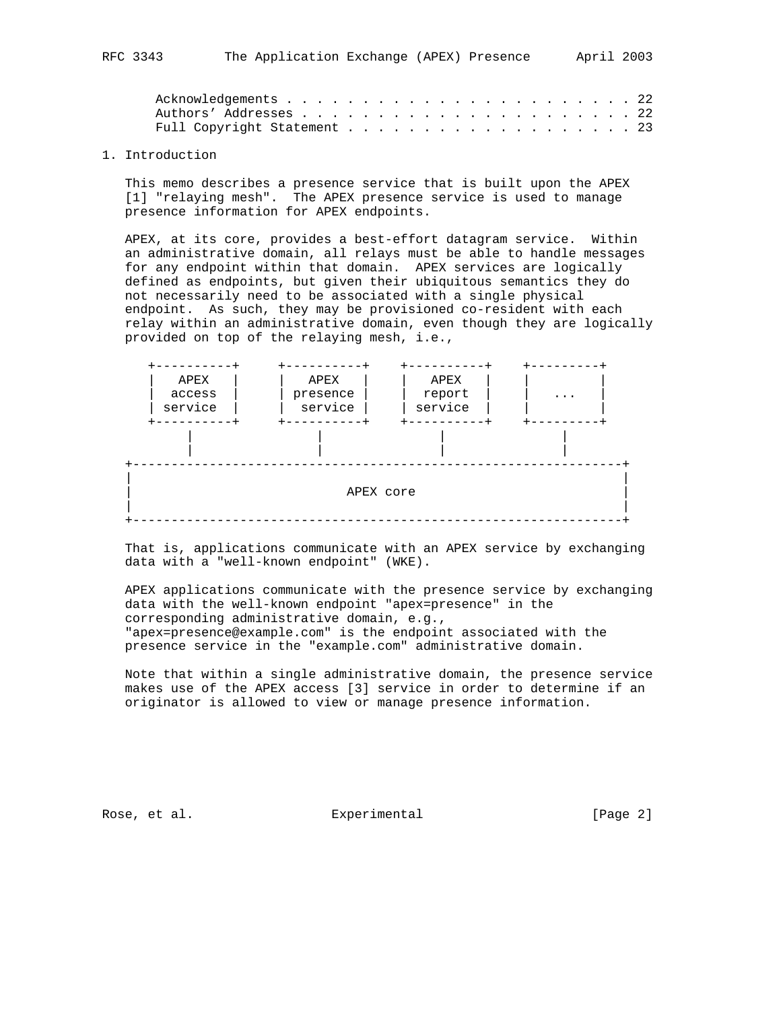#### 1. Introduction

 This memo describes a presence service that is built upon the APEX [1] "relaying mesh". The APEX presence service is used to manage presence information for APEX endpoints.

 APEX, at its core, provides a best-effort datagram service. Within an administrative domain, all relays must be able to handle messages for any endpoint within that domain. APEX services are logically defined as endpoints, but given their ubiquitous semantics they do not necessarily need to be associated with a single physical endpoint. As such, they may be provisioned co-resident with each relay within an administrative domain, even though they are logically provided on top of the relaying mesh, i.e.,



 That is, applications communicate with an APEX service by exchanging data with a "well-known endpoint" (WKE).

 APEX applications communicate with the presence service by exchanging data with the well-known endpoint "apex=presence" in the corresponding administrative domain, e.g., "apex=presence@example.com" is the endpoint associated with the presence service in the "example.com" administrative domain.

 Note that within a single administrative domain, the presence service makes use of the APEX access [3] service in order to determine if an originator is allowed to view or manage presence information.

Rose, et al. Subsequental Experimental Contracts (Page 2)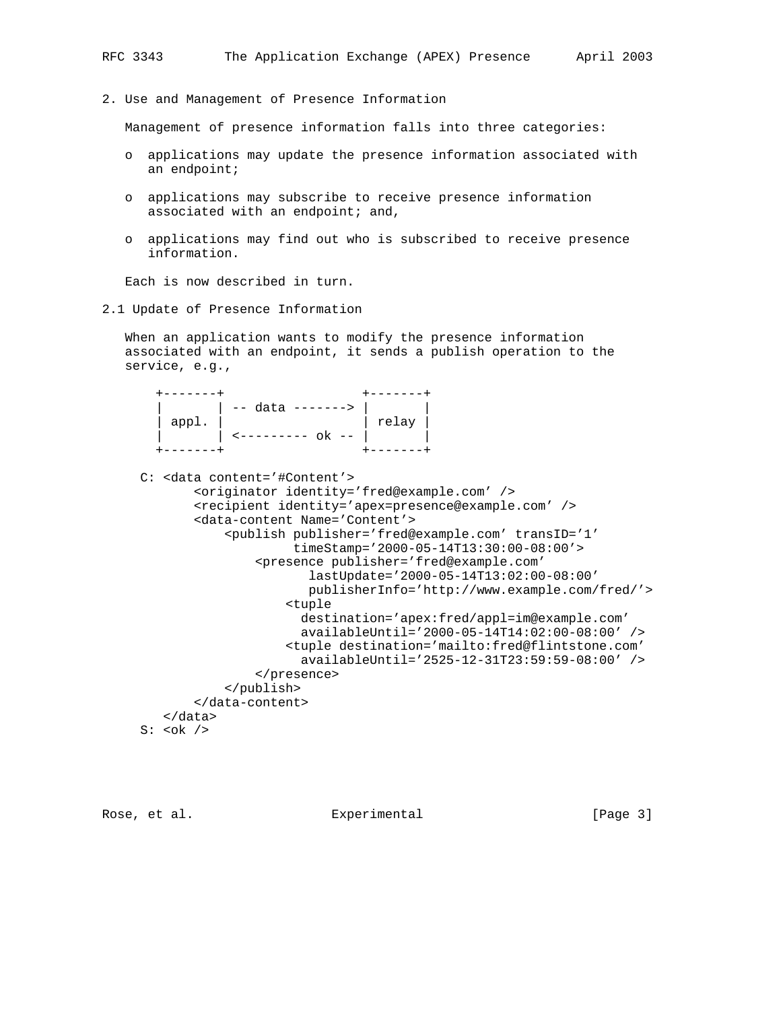2. Use and Management of Presence Information

Management of presence information falls into three categories:

- o applications may update the presence information associated with an endpoint;
- o applications may subscribe to receive presence information associated with an endpoint; and,
- o applications may find out who is subscribed to receive presence information.

Each is now described in turn.

2.1 Update of Presence Information

 When an application wants to modify the presence information associated with an endpoint, it sends a publish operation to the service, e.g.,

|       | $\vert$ -- data -------> |       |
|-------|--------------------------|-------|
| appl. |                          | relay |
|       | --------- ok --          |       |
|       |                          |       |

```
 C: <data content='#Content'>
        <originator identity='fred@example.com' />
        <recipient identity='apex=presence@example.com' />
        <data-content Name='Content'>
            <publish publisher='fred@example.com' transID='1'
                      timeStamp='2000-05-14T13:30:00-08:00'>
                 <presence publisher='fred@example.com'
                        lastUpdate='2000-05-14T13:02:00-08:00'
                        publisherInfo='http://www.example.com/fred/'>
                     <tuple
                       destination='apex:fred/appl=im@example.com'
                       availableUntil='2000-05-14T14:02:00-08:00' />
                     <tuple destination='mailto:fred@flintstone.com'
                       availableUntil='2525-12-31T23:59:59-08:00' />
                 </presence>
            </publish>
        </data-content>
    </data>
S: <\!\!\circ\!\!\circ\!\!k />
```
Rose, et al. Experimental [Page 3]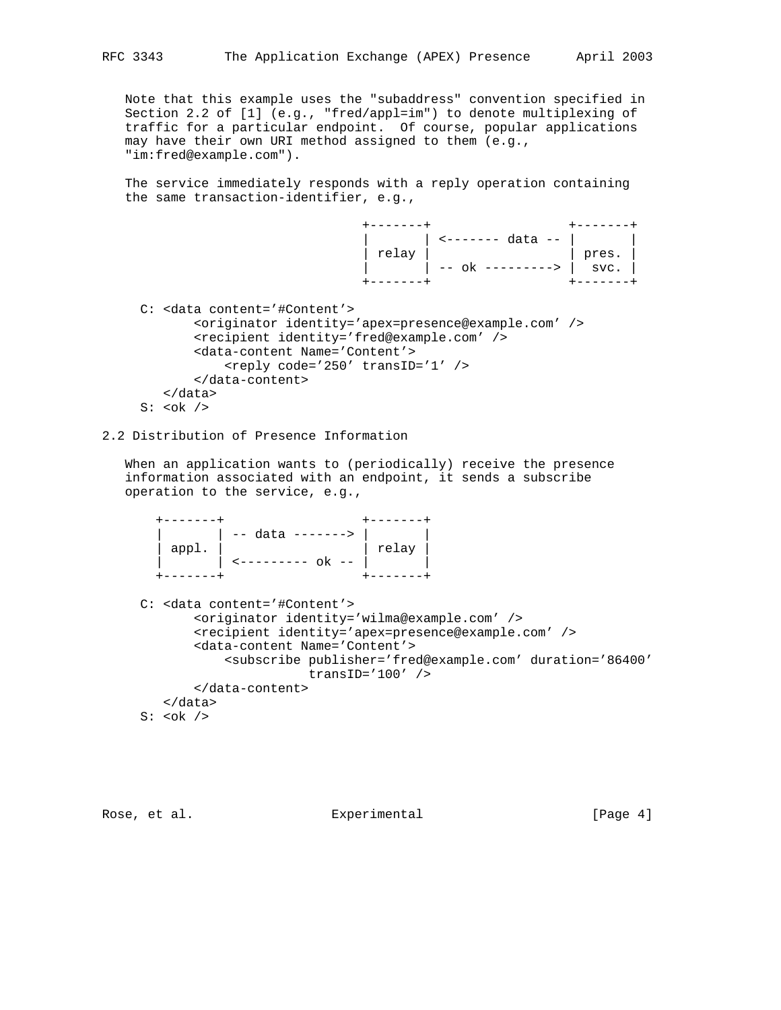Note that this example uses the "subaddress" convention specified in Section 2.2 of [1] (e.g., "fred/appl=im") to denote multiplexing of traffic for a particular endpoint. Of course, popular applications may have their own URI method assigned to them (e.g., "im:fred@example.com").

 The service immediately responds with a reply operation containing the same transaction-identifier, e.g.,

| $\left  \begin{array}{c} \text{relay} \\ \text{lex} \end{array} \right $ -- ok ---------> $\left  \begin{array}{c} \text{pres.} \\ \text{svc.} \end{array} \right $ |  |
|---------------------------------------------------------------------------------------------------------------------------------------------------------------------|--|
|                                                                                                                                                                     |  |
|                                                                                                                                                                     |  |

 C: <data content='#Content'> <originator identity='apex=presence@example.com' /> <recipient identity='fred@example.com' /> <data-content Name='Content'> <reply code='250' transID='1' /> </data-content> </data>  $S: <\!\!\circ\!\!\circ\!\!k$  />

# 2.2 Distribution of Presence Information

 When an application wants to (periodically) receive the presence information associated with an endpoint, it sends a subscribe operation to the service, e.g.,

|       | $\vert - -$ data -------> $\vert$ |               |
|-------|-----------------------------------|---------------|
| appl. |                                   | $ $ relay $ $ |
|       |                                   |               |
|       |                                   |               |

```
 C: <data content='#Content'>
         <originator identity='wilma@example.com' />
         <recipient identity='apex=presence@example.com' />
         <data-content Name='Content'>
             <subscribe publisher='fred@example.com' duration='86400'
                         transID='100' />
        </data-content>
    </data>
S: <\!\!\circ\!\!\circ\!\!k />
```
Rose, et al. Experimental Experimental [Page 4]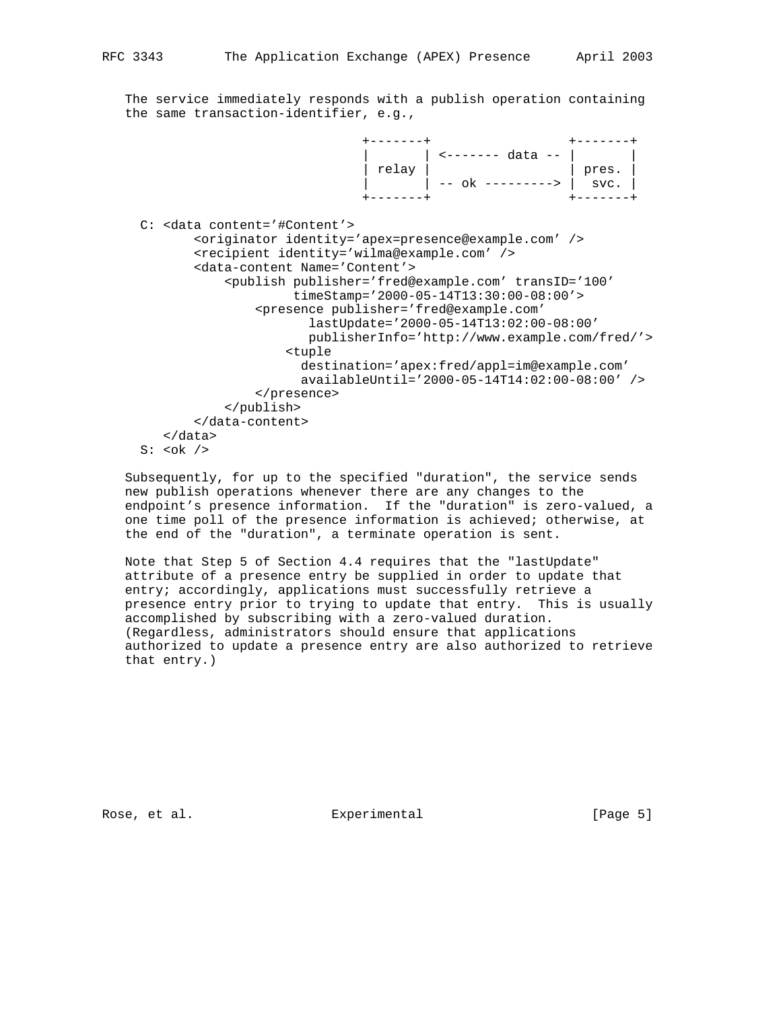The service immediately responds with a publish operation containing the same transaction-identifier, e.g.,

 +-------+ +-------+ | | <------- data -- | | | relay | | pres. | | | -- ok ---------> | svc. | +-------+ +-------+ C: <data content='#Content'> <originator identity='apex=presence@example.com' /> <recipient identity='wilma@example.com' /> <data-content Name='Content'> <publish publisher='fred@example.com' transID='100' timeStamp='2000-05-14T13:30:00-08:00'> <presence publisher='fred@example.com' lastUpdate='2000-05-14T13:02:00-08:00' publisherInfo='http://www.example.com/fred/'> <tuple destination='apex:fred/appl=im@example.com' availableUntil='2000-05-14T14:02:00-08:00' /> </presence> </publish> </data-content> </data> S:  **/>** 

 Subsequently, for up to the specified "duration", the service sends new publish operations whenever there are any changes to the endpoint's presence information. If the "duration" is zero-valued, a one time poll of the presence information is achieved; otherwise, at the end of the "duration", a terminate operation is sent.

 Note that Step 5 of Section 4.4 requires that the "lastUpdate" attribute of a presence entry be supplied in order to update that entry; accordingly, applications must successfully retrieve a presence entry prior to trying to update that entry. This is usually accomplished by subscribing with a zero-valued duration. (Regardless, administrators should ensure that applications authorized to update a presence entry are also authorized to retrieve that entry.)

Rose, et al. Experimental [Page 5]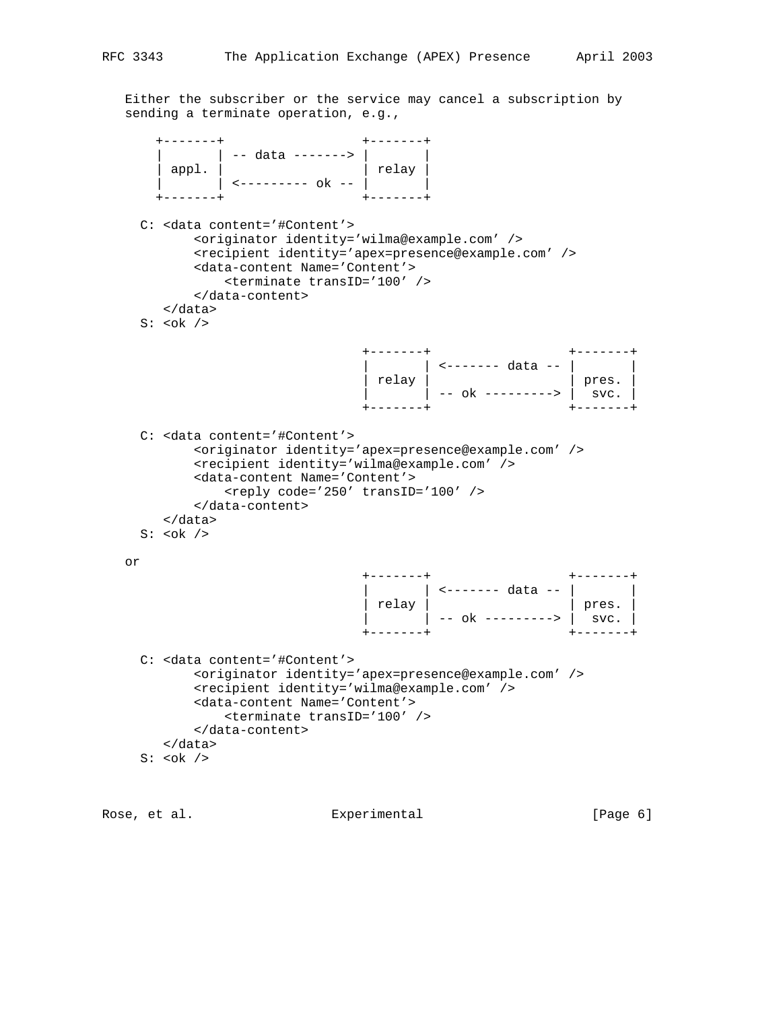Either the subscriber or the service may cancel a subscription by sending a terminate operation, e.g.,

 +-------+ +-------+ | | | | | -- data -------> | | | | | | appl. | | relay | | | <--------- ok -- | | +-------+ +-------+ C: <data content='#Content'> <originator identity='wilma@example.com' /> <recipient identity='apex=presence@example.com' /> <data-content Name='Content'> <terminate transID='100' /> </data-content> </data>  $S: <\!\!\circ\!\!\circ\!\!k$  /> +-------+ +-------+ | | <------- data -- | | | relay | | pres. | | | -- ok ---------> | svc. | +-------+ +-------+ C: <data content='#Content'> <originator identity='apex=presence@example.com' /> <recipient identity='wilma@example.com' /> <data-content Name='Content'> <reply code='250' transID='100' /> </data-content> </data> S:  $$  or +-------+ +-------+ | | <------- data -- | | | relay | | pres. | | | -- ok ---------> | svc. | +-------+ +-------+ C: <data content='#Content'> <originator identity='apex=presence@example.com' /> <recipient identity='wilma@example.com' /> <data-content Name='Content'> <terminate transID='100' /> </data-content> </data>  $S: <\!\!\circ\!\!\circ\!\!k$  />

Rose, et al. Experimental [Page 6]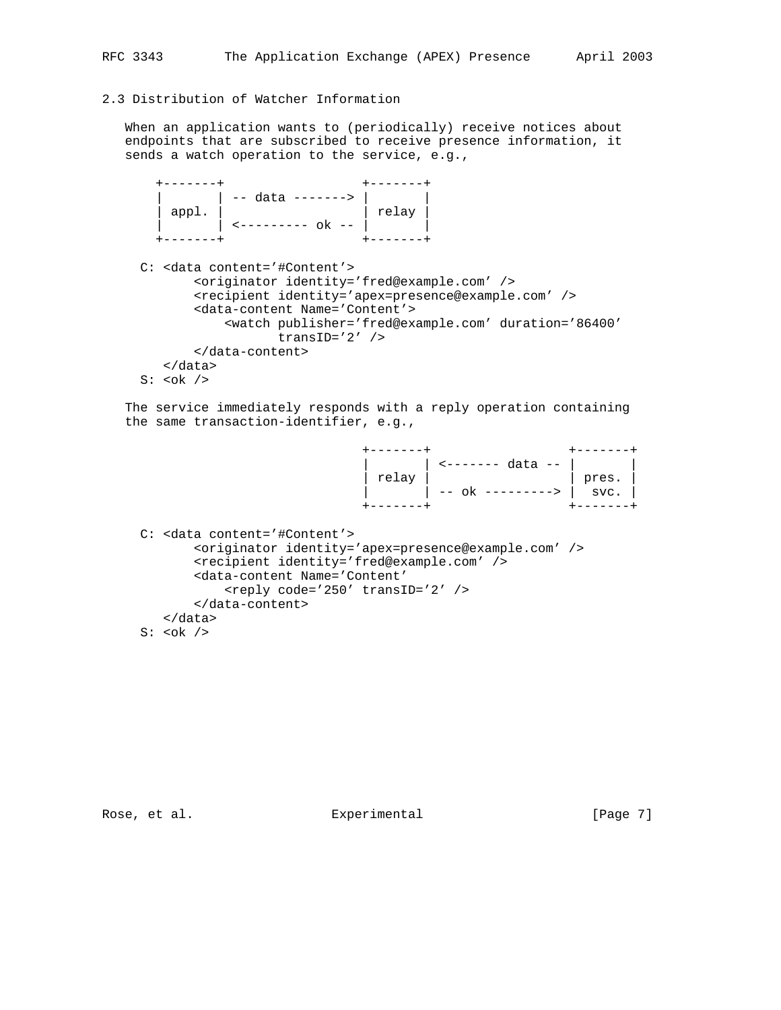# 2.3 Distribution of Watcher Information

 When an application wants to (periodically) receive notices about endpoints that are subscribed to receive presence information, it sends a watch operation to the service, e.g.,

```
 +-------+ +-------+
| | | | | | -- data -------> | | | | |
 | appl. | | relay |
 | | <--------- ok -- | |
 +-------+ +-------+
```

```
 C: <data content='#Content'>
         <originator identity='fred@example.com' />
         <recipient identity='apex=presence@example.com' />
         <data-content Name='Content'>
             <watch publisher='fred@example.com' duration='86400'
                    transID='2' />
        </data-content>
    </data>
S: <\!\!\circ\!\!\circ\!\!k />
```
 The service immediately responds with a reply operation containing the same transaction-identifier, e.g.,

| $\left  \begin{array}{c} \text{relay} \\ \text{relay} \\ \text{-- ok} \\ \end{array} \right  \xrightarrow{\text{clax} -1} \text{gres.}$ |  |
|-----------------------------------------------------------------------------------------------------------------------------------------|--|
|                                                                                                                                         |  |
|                                                                                                                                         |  |
|                                                                                                                                         |  |

```
 C: <data content='#Content'>
        <originator identity='apex=presence@example.com' />
        <recipient identity='fred@example.com' />
        <data-content Name='Content'
            <reply code='250' transID='2' />
        </data-content>
   </data>
S:  />
```
Rose, et al. Experimental [Page 7]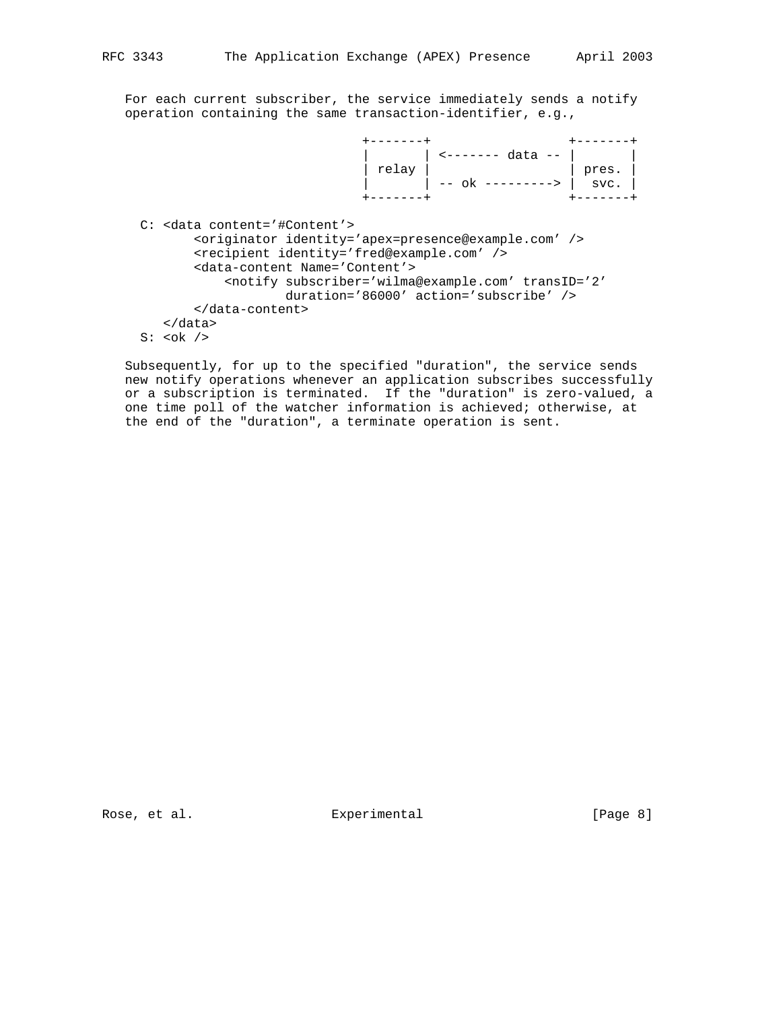For each current subscriber, the service immediately sends a notify operation containing the same transaction-identifier, e.g.,

 +-------+ +-------+ | | <------- data -- | | | relay | | pres. | | | -- ok ---------> | svc. | +-------+ +-------+ C: <data content='#Content'> <originator identity='apex=presence@example.com' /> <recipient identity='fred@example.com' /> <data-content Name='Content'> <notify subscriber='wilma@example.com' transID='2' duration='86000' action='subscribe' /> </data-content> </data>  $S: <\!\!\circ\!\!\circ\!\!k$  />

 Subsequently, for up to the specified "duration", the service sends new notify operations whenever an application subscribes successfully or a subscription is terminated. If the "duration" is zero-valued, a one time poll of the watcher information is achieved; otherwise, at the end of the "duration", a terminate operation is sent.

Rose, et al. Experimental [Page 8]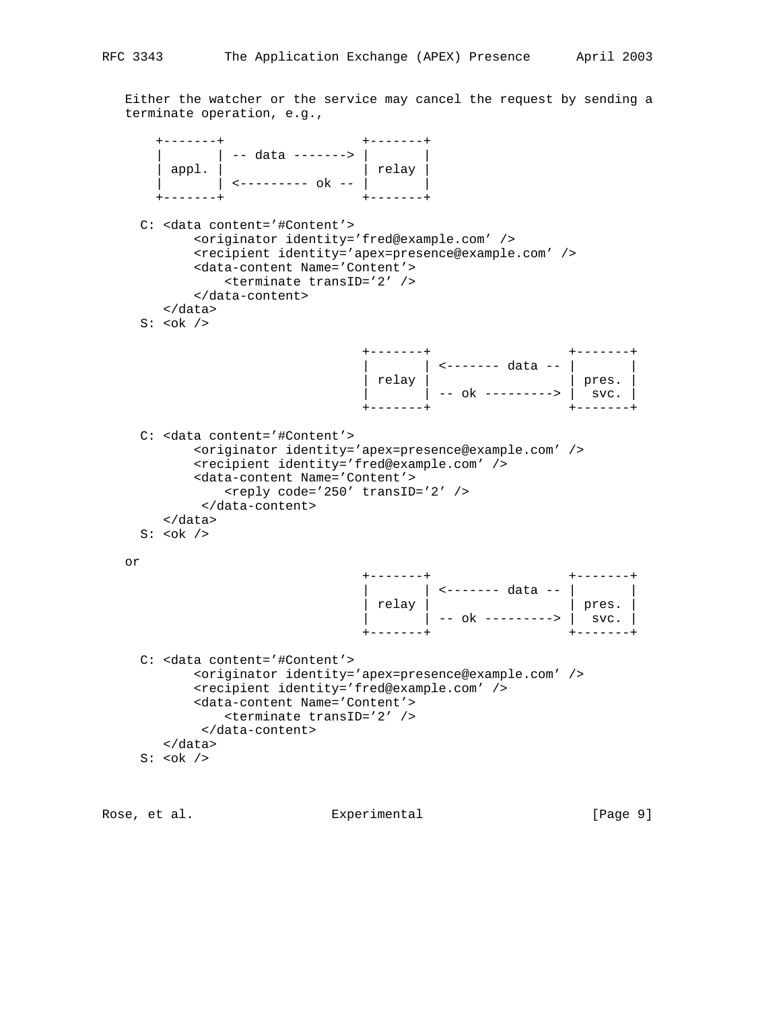Either the watcher or the service may cancel the request by sending a terminate operation, e.g.,

 +-------+ +-------+ | | | | | | -- data -------> | | | | | | appl. | | relay | | | <--------- ok -- | | +-------+ +-------+ C: <data content='#Content'> <originator identity='fred@example.com' /> <recipient identity='apex=presence@example.com' /> <data-content Name='Content'> <terminate transID='2' /> </data-content> </data> S: <ok />  $\,$  +-------+ +-------+ | | <------- data -- | | | relay | | pres. | | | -- ok ---------> | svc. | +-------+ +-------+ C: <data content='#Content'> <originator identity='apex=presence@example.com' /> <recipient identity='fred@example.com' /> <data-content Name='Content'> <reply code='250' transID='2' /> </data-content> </data> S:  $$  or +-------+ +-------+ | | <------- data -- | | | relay | | pres. | | | -- ok ---------> | svc. | +-------+ +-------+ C: <data content='#Content'> <originator identity='apex=presence@example.com' /> <recipient identity='fred@example.com' /> <data-content Name='Content'> <terminate transID='2' /> </data-content> </data>  $S: <\!\!\circ\!\!\circ\!\!k$  />

Rose, et al. Experimental [Page 9]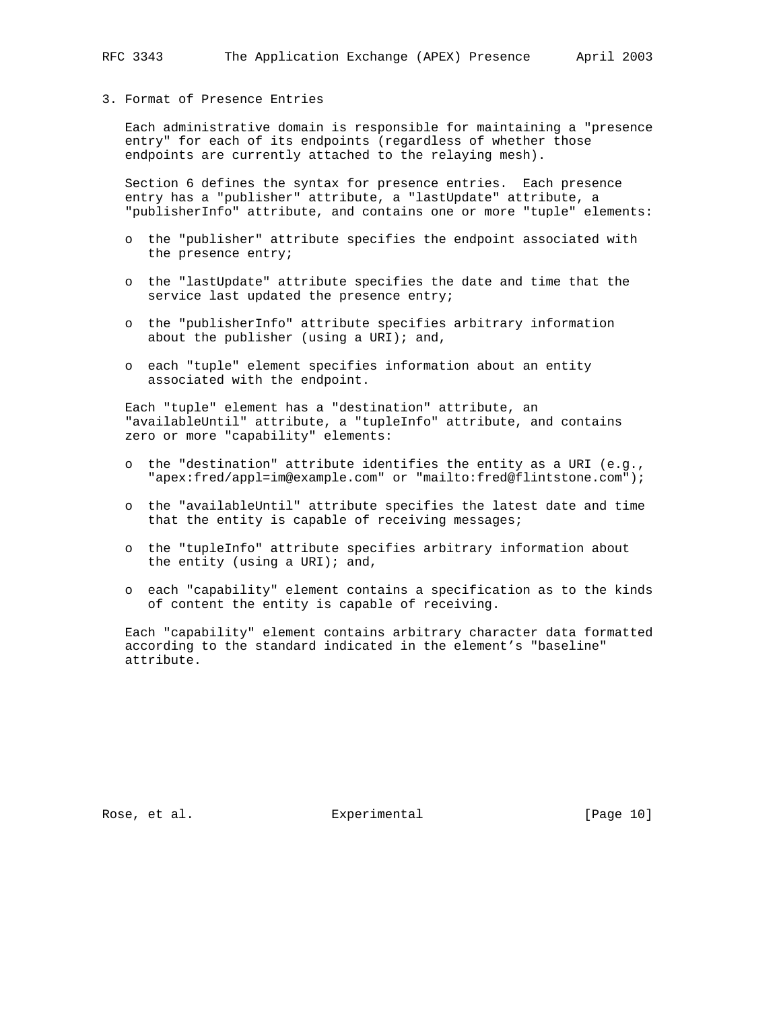#### 3. Format of Presence Entries

 Each administrative domain is responsible for maintaining a "presence entry" for each of its endpoints (regardless of whether those endpoints are currently attached to the relaying mesh).

 Section 6 defines the syntax for presence entries. Each presence entry has a "publisher" attribute, a "lastUpdate" attribute, a "publisherInfo" attribute, and contains one or more "tuple" elements:

- o the "publisher" attribute specifies the endpoint associated with the presence entry;
- o the "lastUpdate" attribute specifies the date and time that the service last updated the presence entry;
- o the "publisherInfo" attribute specifies arbitrary information about the publisher (using a URI); and,
- o each "tuple" element specifies information about an entity associated with the endpoint.

 Each "tuple" element has a "destination" attribute, an "availableUntil" attribute, a "tupleInfo" attribute, and contains zero or more "capability" elements:

- o the "destination" attribute identifies the entity as a URI (e.g., "apex:fred/appl=im@example.com" or "mailto:fred@flintstone.com");
- o the "availableUntil" attribute specifies the latest date and time that the entity is capable of receiving messages;
- o the "tupleInfo" attribute specifies arbitrary information about the entity (using a URI); and,
- o each "capability" element contains a specification as to the kinds of content the entity is capable of receiving.

 Each "capability" element contains arbitrary character data formatted according to the standard indicated in the element's "baseline" attribute.

Rose, et al. Subsequential Experimental [Page 10]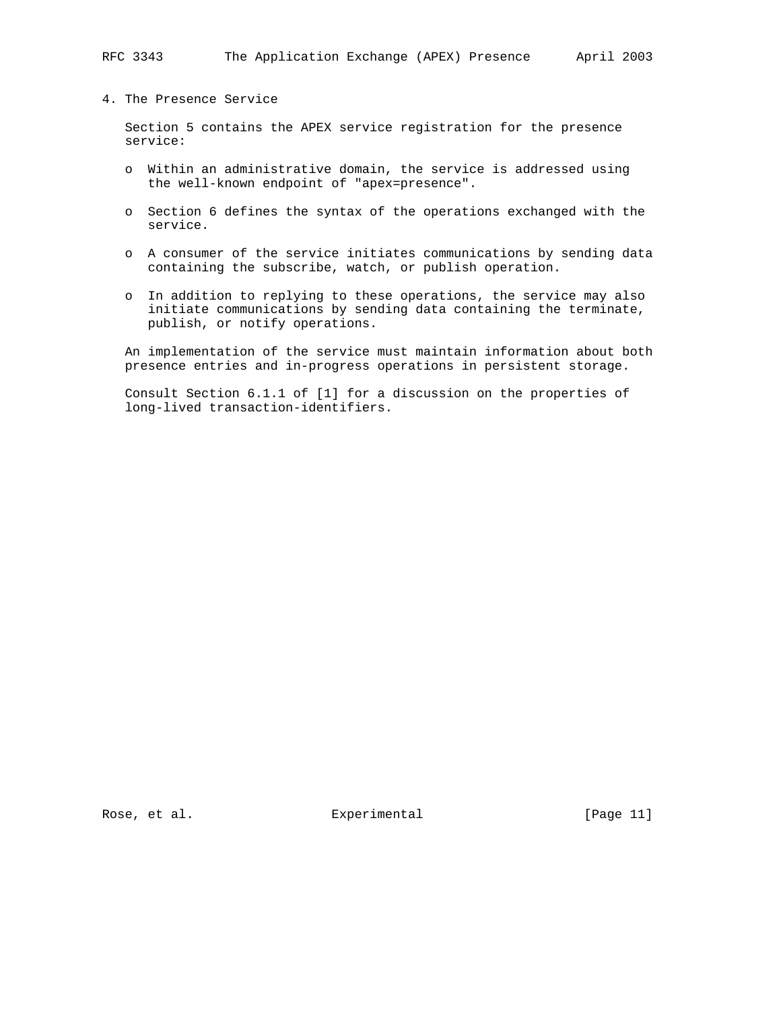## 4. The Presence Service

 Section 5 contains the APEX service registration for the presence service:

- o Within an administrative domain, the service is addressed using the well-known endpoint of "apex=presence".
- o Section 6 defines the syntax of the operations exchanged with the service.
- o A consumer of the service initiates communications by sending data containing the subscribe, watch, or publish operation.
- o In addition to replying to these operations, the service may also initiate communications by sending data containing the terminate, publish, or notify operations.

 An implementation of the service must maintain information about both presence entries and in-progress operations in persistent storage.

 Consult Section 6.1.1 of [1] for a discussion on the properties of long-lived transaction-identifiers.

Rose, et al. Subsequential Experimental [Page 11]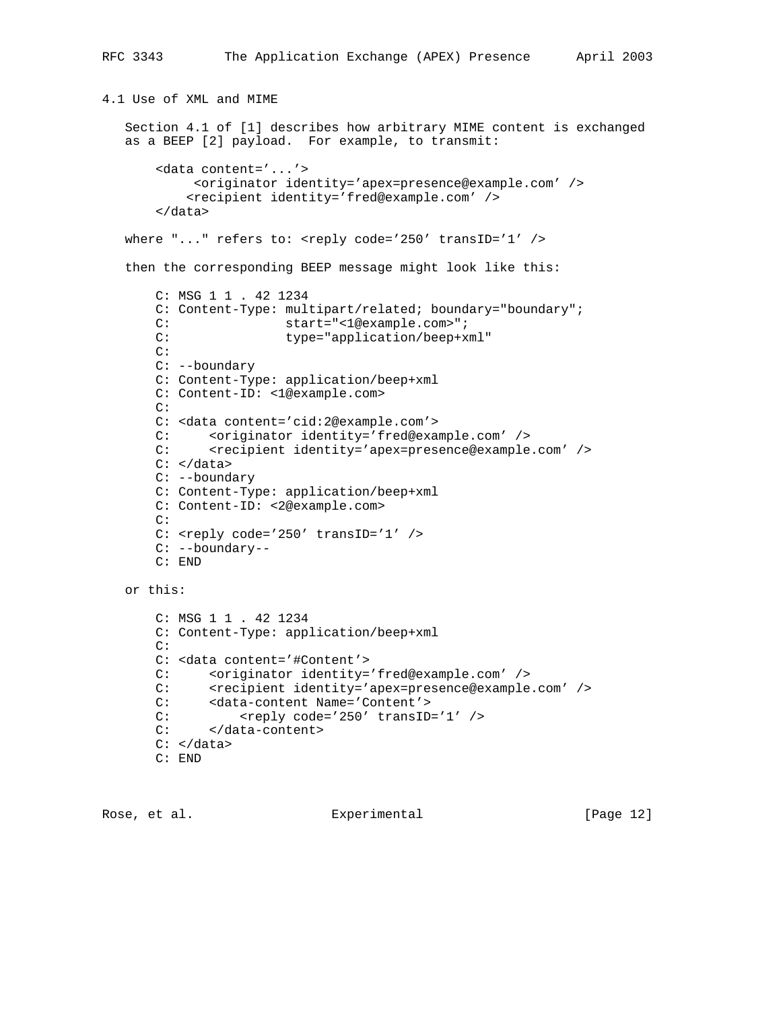```
4.1 Use of XML and MIME
    Section 4.1 of [1] describes how arbitrary MIME content is exchanged
    as a BEEP [2] payload. For example, to transmit:
        <data content='...'>
             <originator identity='apex=presence@example.com' />
            <recipient identity='fred@example.com' />
        </data>
   where "..." refers to: <reply code='250' transID='1' />
    then the corresponding BEEP message might look like this:
        C: MSG 1 1 . 42 1234
        C: Content-Type: multipart/related; boundary="boundary";
       C: start="<1@example.com>";
       C: type="application/beep+xml"
        C:
        C: --boundary
        C: Content-Type: application/beep+xml
        C: Content-ID: <1@example.com>
        C:
        C: <data content='cid:2@example.com'>
       C: <originator identity='fred@example.com' /><br>C: <recipient identity='apex=presence@example
              <recipient identity='apex=presence@example.com' />
        C: </data>
        C: --boundary
        C: Content-Type: application/beep+xml
        C: Content-ID: <2@example.com>
        C:
       C: \langle \text{reply code} = '250' \text{ transID} = '1' \rangle C: --boundary--
        C: END
    or this:
        C: MSG 1 1 . 42 1234
        C: Content-Type: application/beep+xml
        C:
        C: <data content='#Content'>
        C: <originator identity='fred@example.com' />
C: <recipient identity='apex=presence@example.com' />
 C: <data-content Name='Content'>
       C: <reply code='250' transID='1' />
        C: </data-content>
       C: < /data> C: END
```
Rose, et al. Subsequential Experimental [Page 12]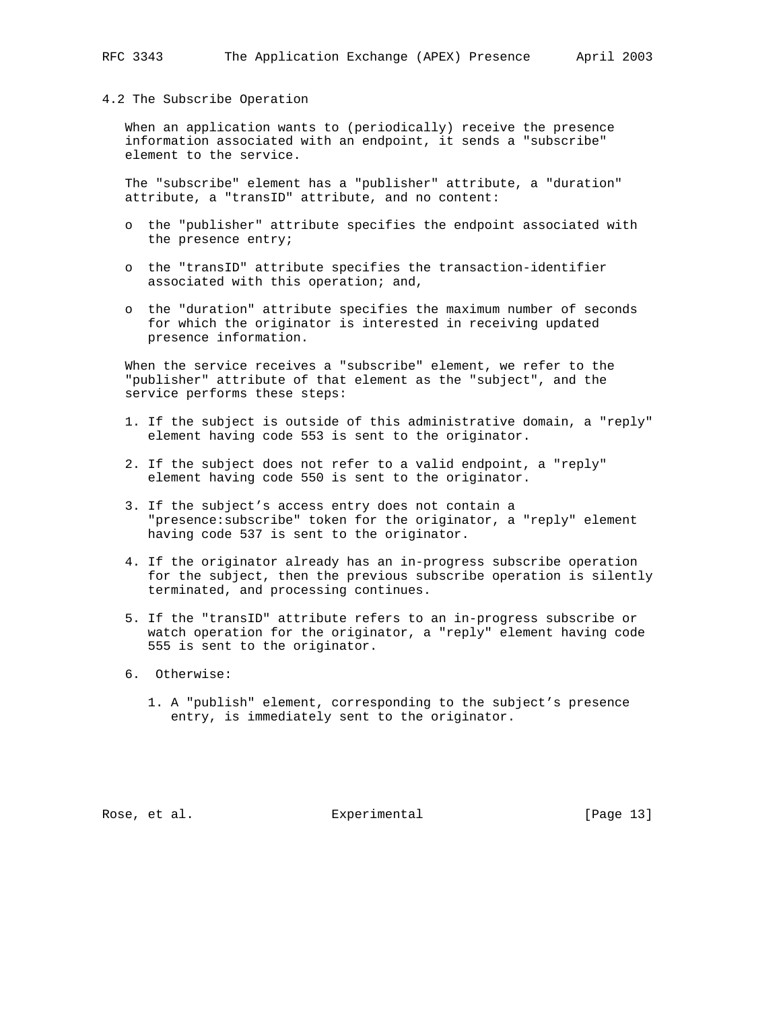#### 4.2 The Subscribe Operation

 When an application wants to (periodically) receive the presence information associated with an endpoint, it sends a "subscribe" element to the service.

 The "subscribe" element has a "publisher" attribute, a "duration" attribute, a "transID" attribute, and no content:

- o the "publisher" attribute specifies the endpoint associated with the presence entry;
- o the "transID" attribute specifies the transaction-identifier associated with this operation; and,
- o the "duration" attribute specifies the maximum number of seconds for which the originator is interested in receiving updated presence information.

 When the service receives a "subscribe" element, we refer to the "publisher" attribute of that element as the "subject", and the service performs these steps:

- 1. If the subject is outside of this administrative domain, a "reply" element having code 553 is sent to the originator.
- 2. If the subject does not refer to a valid endpoint, a "reply" element having code 550 is sent to the originator.
- 3. If the subject's access entry does not contain a "presence:subscribe" token for the originator, a "reply" element having code 537 is sent to the originator.
- 4. If the originator already has an in-progress subscribe operation for the subject, then the previous subscribe operation is silently terminated, and processing continues.
- 5. If the "transID" attribute refers to an in-progress subscribe or watch operation for the originator, a "reply" element having code 555 is sent to the originator.
- 6. Otherwise:
	- 1. A "publish" element, corresponding to the subject's presence entry, is immediately sent to the originator.

Rose, et al. Subsequential Experimental [Page 13]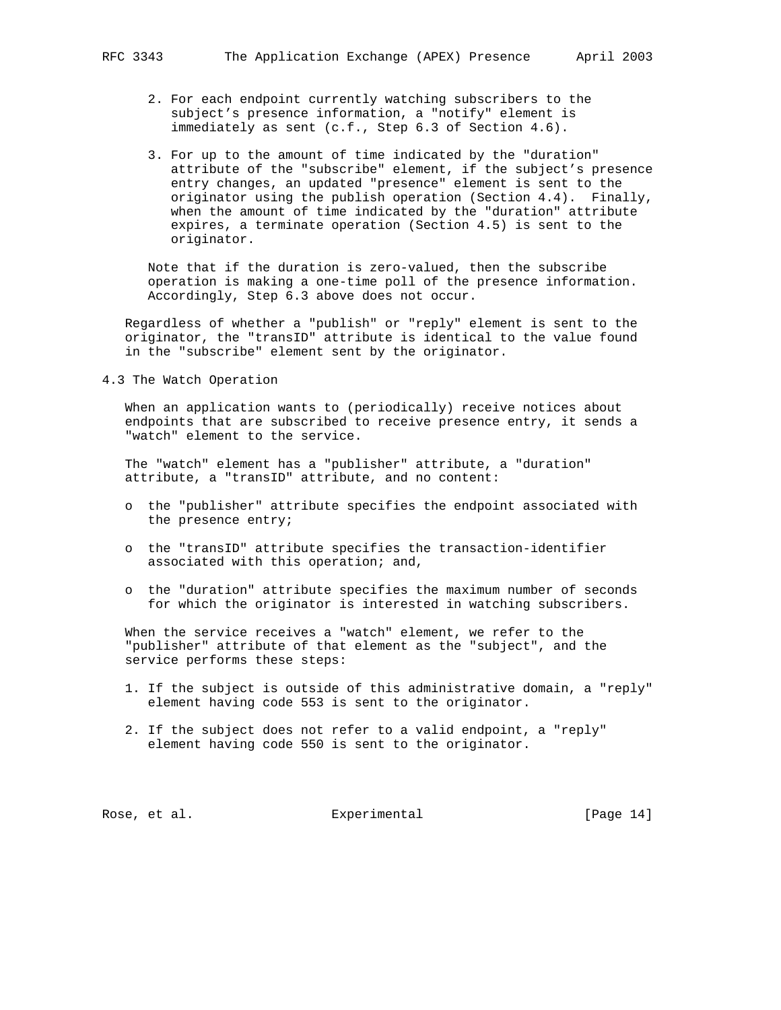- 2. For each endpoint currently watching subscribers to the subject's presence information, a "notify" element is immediately as sent (c.f., Step 6.3 of Section 4.6).
- 3. For up to the amount of time indicated by the "duration" attribute of the "subscribe" element, if the subject's presence entry changes, an updated "presence" element is sent to the originator using the publish operation (Section 4.4). Finally, when the amount of time indicated by the "duration" attribute expires, a terminate operation (Section 4.5) is sent to the originator.

 Note that if the duration is zero-valued, then the subscribe operation is making a one-time poll of the presence information. Accordingly, Step 6.3 above does not occur.

 Regardless of whether a "publish" or "reply" element is sent to the originator, the "transID" attribute is identical to the value found in the "subscribe" element sent by the originator.

4.3 The Watch Operation

 When an application wants to (periodically) receive notices about endpoints that are subscribed to receive presence entry, it sends a "watch" element to the service.

 The "watch" element has a "publisher" attribute, a "duration" attribute, a "transID" attribute, and no content:

- o the "publisher" attribute specifies the endpoint associated with the presence entry;
- o the "transID" attribute specifies the transaction-identifier associated with this operation; and,
- o the "duration" attribute specifies the maximum number of seconds for which the originator is interested in watching subscribers.

 When the service receives a "watch" element, we refer to the "publisher" attribute of that element as the "subject", and the service performs these steps:

- 1. If the subject is outside of this administrative domain, a "reply" element having code 553 is sent to the originator.
- 2. If the subject does not refer to a valid endpoint, a "reply" element having code 550 is sent to the originator.

Rose, et al. Subsequential Experimental [Page 14]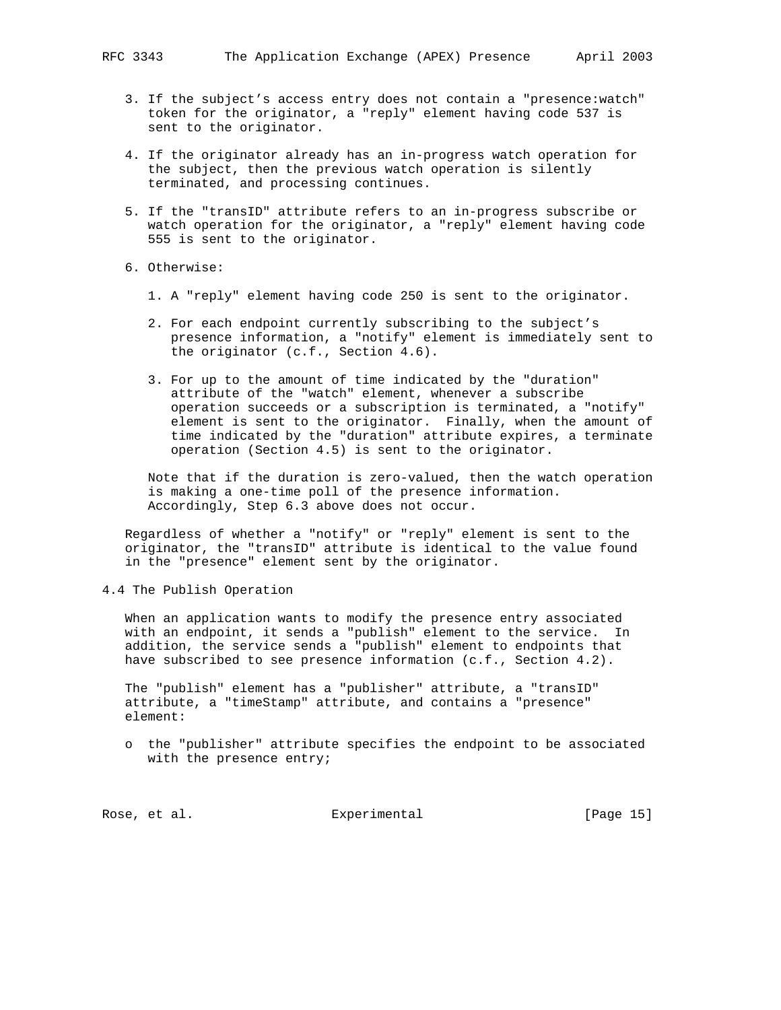- 3. If the subject's access entry does not contain a "presence:watch" token for the originator, a "reply" element having code 537 is sent to the originator.
- 4. If the originator already has an in-progress watch operation for the subject, then the previous watch operation is silently terminated, and processing continues.
- 5. If the "transID" attribute refers to an in-progress subscribe or watch operation for the originator, a "reply" element having code 555 is sent to the originator.
- 6. Otherwise:
	- 1. A "reply" element having code 250 is sent to the originator.
	- 2. For each endpoint currently subscribing to the subject's presence information, a "notify" element is immediately sent to the originator (c.f., Section 4.6).
	- 3. For up to the amount of time indicated by the "duration" attribute of the "watch" element, whenever a subscribe operation succeeds or a subscription is terminated, a "notify" element is sent to the originator. Finally, when the amount of time indicated by the "duration" attribute expires, a terminate operation (Section 4.5) is sent to the originator.

 Note that if the duration is zero-valued, then the watch operation is making a one-time poll of the presence information. Accordingly, Step 6.3 above does not occur.

 Regardless of whether a "notify" or "reply" element is sent to the originator, the "transID" attribute is identical to the value found in the "presence" element sent by the originator.

4.4 The Publish Operation

 When an application wants to modify the presence entry associated with an endpoint, it sends a "publish" element to the service. In addition, the service sends a "publish" element to endpoints that have subscribed to see presence information (c.f., Section 4.2).

 The "publish" element has a "publisher" attribute, a "transID" attribute, a "timeStamp" attribute, and contains a "presence" element:

 o the "publisher" attribute specifies the endpoint to be associated with the presence entry;

Rose, et al. Subsequential Experimental Formula (Page 15)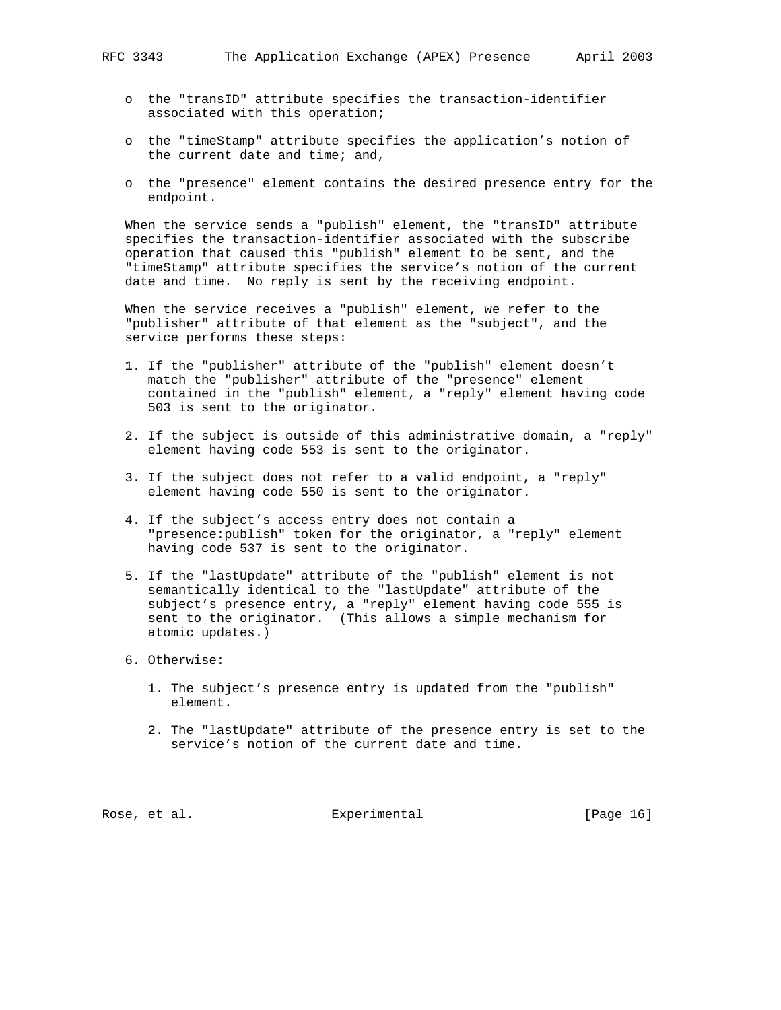- o the "transID" attribute specifies the transaction-identifier associated with this operation;
- o the "timeStamp" attribute specifies the application's notion of the current date and time; and,
- o the "presence" element contains the desired presence entry for the endpoint.

 When the service sends a "publish" element, the "transID" attribute specifies the transaction-identifier associated with the subscribe operation that caused this "publish" element to be sent, and the "timeStamp" attribute specifies the service's notion of the current date and time. No reply is sent by the receiving endpoint.

 When the service receives a "publish" element, we refer to the "publisher" attribute of that element as the "subject", and the service performs these steps:

- 1. If the "publisher" attribute of the "publish" element doesn't match the "publisher" attribute of the "presence" element contained in the "publish" element, a "reply" element having code 503 is sent to the originator.
- 2. If the subject is outside of this administrative domain, a "reply" element having code 553 is sent to the originator.
- 3. If the subject does not refer to a valid endpoint, a "reply" element having code 550 is sent to the originator.
- 4. If the subject's access entry does not contain a "presence:publish" token for the originator, a "reply" element having code 537 is sent to the originator.
- 5. If the "lastUpdate" attribute of the "publish" element is not semantically identical to the "lastUpdate" attribute of the subject's presence entry, a "reply" element having code 555 is sent to the originator. (This allows a simple mechanism for atomic updates.)
- 6. Otherwise:
	- 1. The subject's presence entry is updated from the "publish" element.
	- 2. The "lastUpdate" attribute of the presence entry is set to the service's notion of the current date and time.

Rose, et al. Subsequential Experimental [Page 16]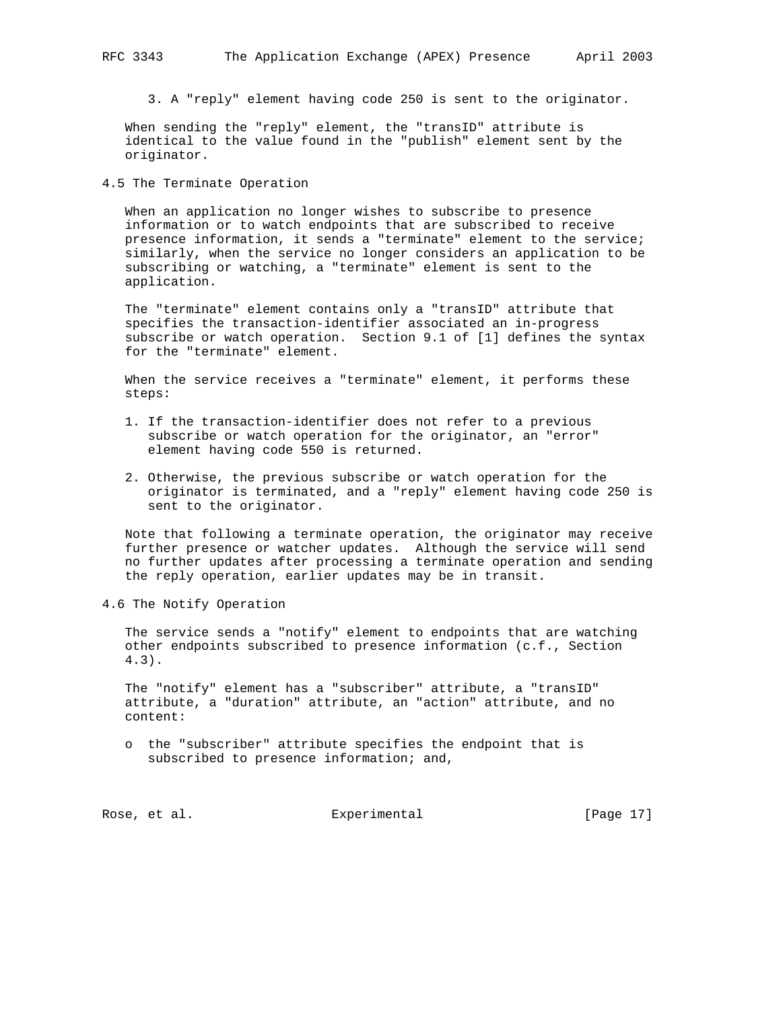3. A "reply" element having code 250 is sent to the originator.

 When sending the "reply" element, the "transID" attribute is identical to the value found in the "publish" element sent by the originator.

4.5 The Terminate Operation

 When an application no longer wishes to subscribe to presence information or to watch endpoints that are subscribed to receive presence information, it sends a "terminate" element to the service; similarly, when the service no longer considers an application to be subscribing or watching, a "terminate" element is sent to the application.

 The "terminate" element contains only a "transID" attribute that specifies the transaction-identifier associated an in-progress subscribe or watch operation. Section 9.1 of [1] defines the syntax for the "terminate" element.

When the service receives a "terminate" element, it performs these steps:

- 1. If the transaction-identifier does not refer to a previous subscribe or watch operation for the originator, an "error" element having code 550 is returned.
- 2. Otherwise, the previous subscribe or watch operation for the originator is terminated, and a "reply" element having code 250 is sent to the originator.

 Note that following a terminate operation, the originator may receive further presence or watcher updates. Although the service will send no further updates after processing a terminate operation and sending the reply operation, earlier updates may be in transit.

4.6 The Notify Operation

 The service sends a "notify" element to endpoints that are watching other endpoints subscribed to presence information (c.f., Section 4.3).

 The "notify" element has a "subscriber" attribute, a "transID" attribute, a "duration" attribute, an "action" attribute, and no content:

 o the "subscriber" attribute specifies the endpoint that is subscribed to presence information; and,

Rose, et al. Subsequential Experimental [Page 17]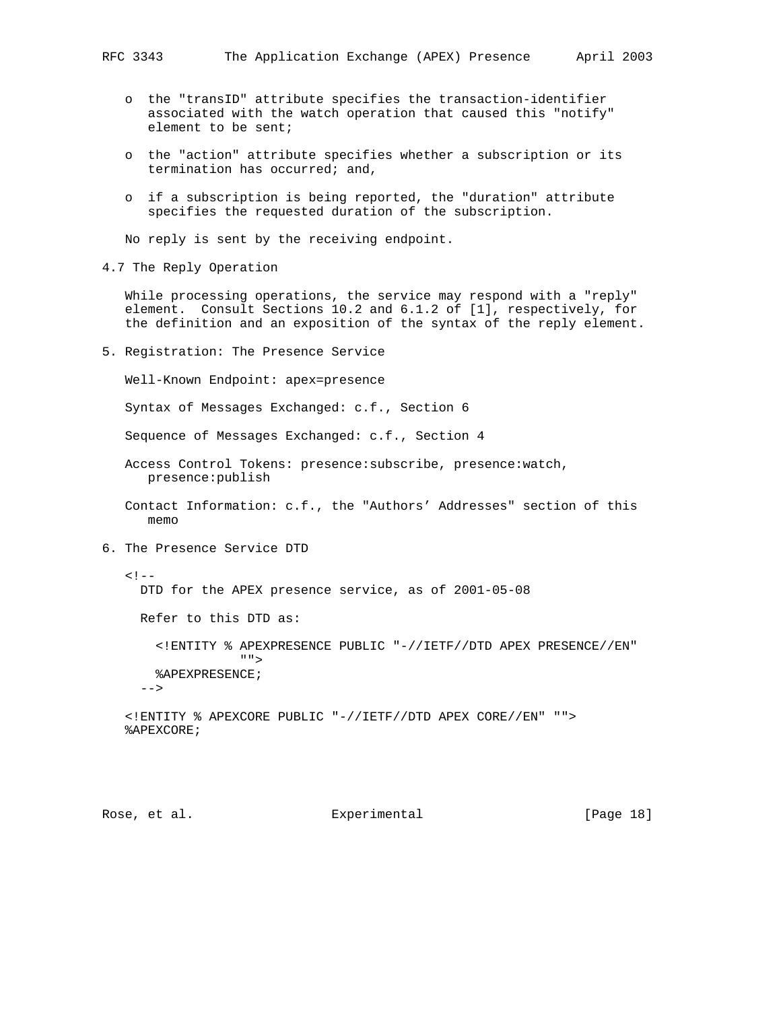- o the "transID" attribute specifies the transaction-identifier associated with the watch operation that caused this "notify" element to be sent;
- o the "action" attribute specifies whether a subscription or its termination has occurred; and,
- o if a subscription is being reported, the "duration" attribute specifies the requested duration of the subscription.

No reply is sent by the receiving endpoint.

4.7 The Reply Operation

 While processing operations, the service may respond with a "reply" element. Consult Sections 10.2 and 6.1.2 of [1], respectively, for the definition and an exposition of the syntax of the reply element.

5. Registration: The Presence Service

Well-Known Endpoint: apex=presence

Syntax of Messages Exchanged: c.f., Section 6

Sequence of Messages Exchanged: c.f., Section 4

- Access Control Tokens: presence:subscribe, presence:watch, presence:publish
- Contact Information: c.f., the "Authors' Addresses" section of this memo
- 6. The Presence Service DTD

```
\lt ! -- DTD for the APEX presence service, as of 2001-05-08
     Refer to this DTD as:
       <!ENTITY % APEXPRESENCE PUBLIC "-//IETF//DTD APEX PRESENCE//EN"
" " %APEXPRESENCE;
    --&> <!ENTITY % APEXCORE PUBLIC "-//IETF//DTD APEX CORE//EN" "">
   %APEXCORE;
```
# Rose, et al. Subsequential Experimental [Page 18]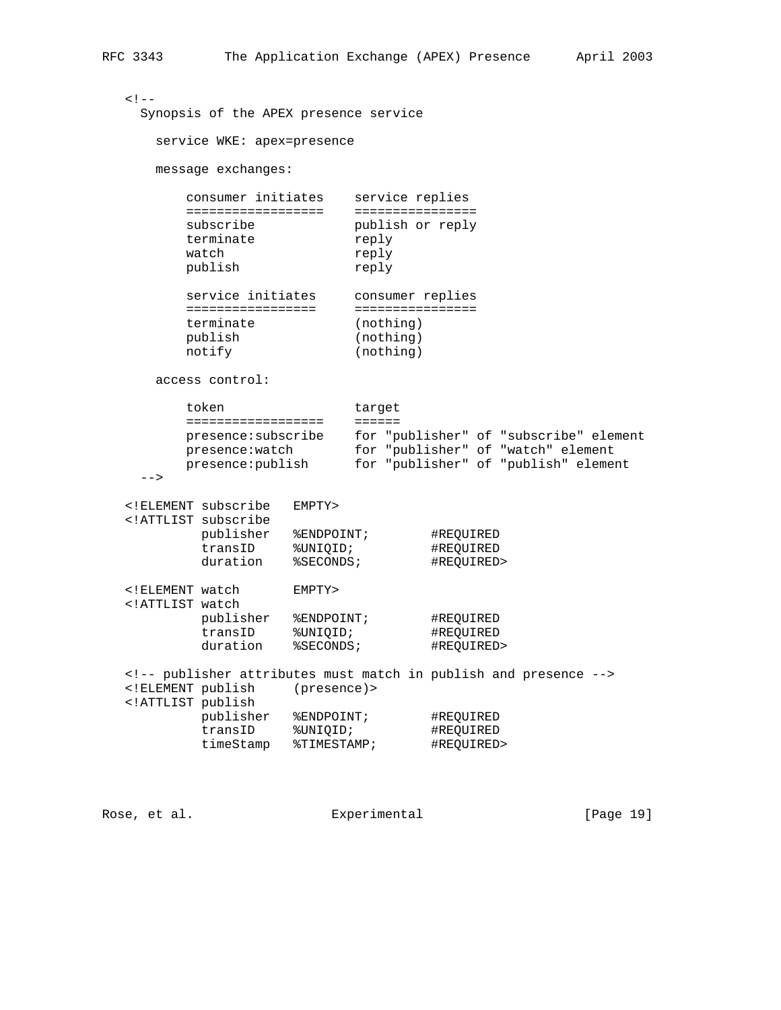```
< ! - - Synopsis of the APEX presence service
      service WKE: apex=presence
     message exchanges:
        consumer initiates service replies
        ================== ================
       subscribe publish or reply<br>terminate reply
       terminate reply<br>watch reply
       watch
        publish reply
 service initiates consumer replies
 ================= ================
 terminate (nothing)
 publish (nothing)
notify (nothing)
     access control:
       token target
        ================== ======
 presence:subscribe for "publisher" of "subscribe" element
 presence:watch for "publisher" of "watch" element
 presence:publish for "publisher" of "publish" element
   --> <!ELEMENT subscribe EMPTY>
   <!ATTLIST subscribe
publisher %ENDPOINT;  #REQUIRED
 transID %UNIQID; #REQUIRED
duration  %SECONDS;  #REQUIRED>
   <!ELEMENT watch EMPTY>
   <!ATTLIST watch
publisher %ENDPOINT;  #REQUIRED
 transID %UNIQID; #REQUIRED
duration  %SECONDS;  #REQUIRED>
```
 <!-- publisher attributes must match in publish and presence --> <!ELEMENT publish (presence)> <!ATTLIST publish publisher %ENDPOINT; #REQUIRED transID %UNIQID; #REQUIRED timeStamp %TIMESTAMP; #REQUIRED>

Rose, et al. Experimental [Page 19]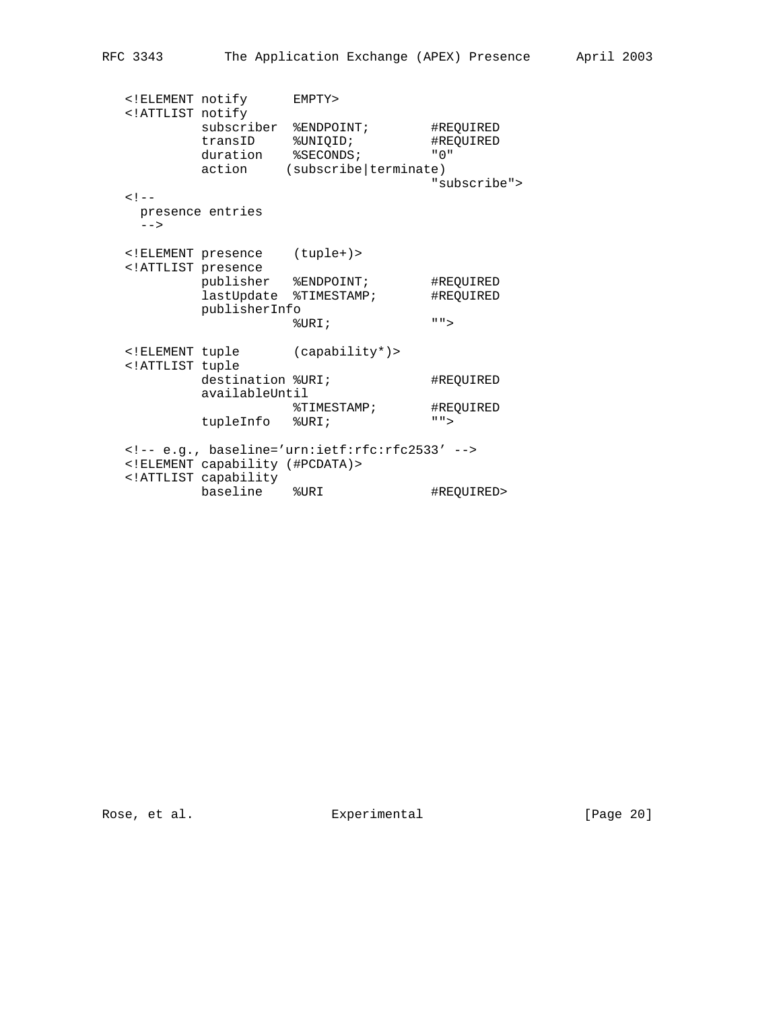<!ELEMENT notify EMPTY> <!ATTLIST notify subscriber %ENDPOINT; #REQUIRED transID %UNIQID; #REQUIRED duration %SECONDS; "0" action (subscribe|terminate) "subscribe">  $<$  !  $-$  presence entries  $--->$  <!ELEMENT presence (tuple+)> <!ATTLIST presence publisher %ENDPOINT; #REQUIRED lastUpdate %TIMESTAMP; #REQUIRED publisherInfo %URI; ""> <!ELEMENT tuple (capability\*)> <!ATTLIST tuple destination %URI; #REQUIRED availableUntil %TIMESTAMP; #REQUIRED tupleInfo %URI; ""> <!-- e.g., baseline='urn:ietf:rfc:rfc2533' --> <!ELEMENT capability (#PCDATA)> <!ATTLIST capability baseline %URI #REQUIRED>

Rose, et al. Subsequential Experimental [Page 20]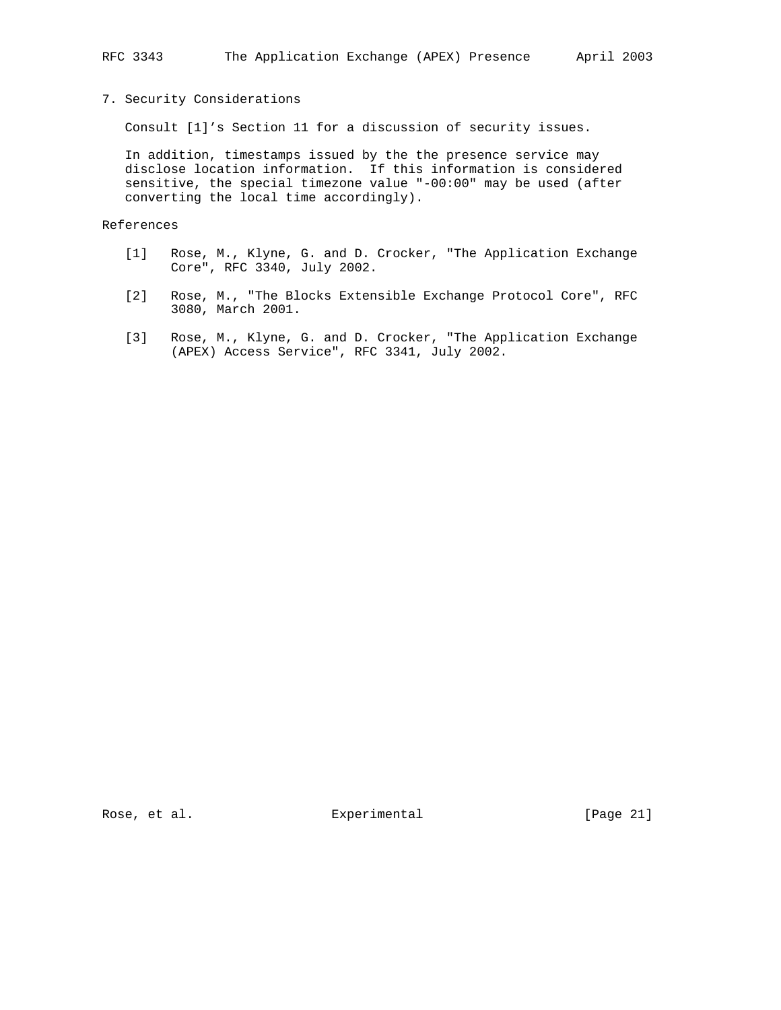# 7. Security Considerations

Consult [1]'s Section 11 for a discussion of security issues.

 In addition, timestamps issued by the the presence service may disclose location information. If this information is considered sensitive, the special timezone value "-00:00" may be used (after converting the local time accordingly).

References

- [1] Rose, M., Klyne, G. and D. Crocker, "The Application Exchange Core", RFC 3340, July 2002.
- [2] Rose, M., "The Blocks Extensible Exchange Protocol Core", RFC 3080, March 2001.
- [3] Rose, M., Klyne, G. and D. Crocker, "The Application Exchange (APEX) Access Service", RFC 3341, July 2002.

Rose, et al. Subsection Experimental Experimental [Page 21]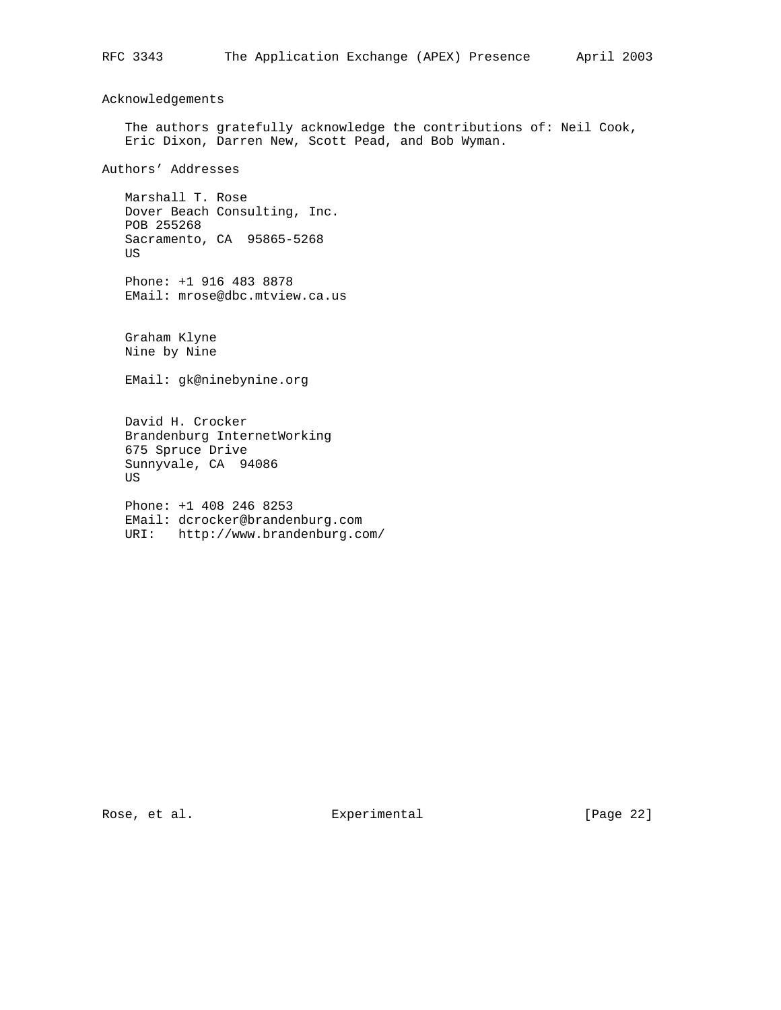Acknowledgements

 The authors gratefully acknowledge the contributions of: Neil Cook, Eric Dixon, Darren New, Scott Pead, and Bob Wyman.

Authors' Addresses

 Marshall T. Rose Dover Beach Consulting, Inc. POB 255268 Sacramento, CA 95865-5268 US

 Phone: +1 916 483 8878 EMail: mrose@dbc.mtview.ca.us

 Graham Klyne Nine by Nine

EMail: gk@ninebynine.org

 David H. Crocker Brandenburg InternetWorking 675 Spruce Drive Sunnyvale, CA 94086 US

 Phone: +1 408 246 8253 EMail: dcrocker@brandenburg.com URI: http://www.brandenburg.com/

Rose, et al. Subsequental Experimental [Page 22]